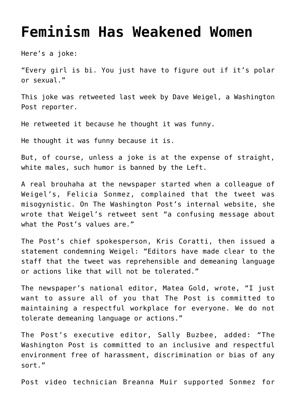## **[Feminism Has Weakened Women](https://bernardgoldberg.com/feminism-has-weakened-women/)**

Here's a joke:

"Every girl is bi. You just have to figure out if it's polar or sexual."

This joke was retweeted last week by Dave Weigel, a Washington Post reporter.

He retweeted it because he thought it was funny.

He thought it was funny because it is.

But, of course, unless a joke is at the expense of straight, white males, such humor is banned by the Left.

A real brouhaha at the newspaper started when a colleague of Weigel's, Felicia Sonmez, complained that the tweet was misogynistic. On The Washington Post's internal website, she wrote that Weigel's retweet sent "a confusing message about what the Post's values are."

The Post's chief spokesperson, Kris Coratti, then issued a statement condemning Weigel: "Editors have made clear to the staff that the tweet was reprehensible and demeaning language or actions like that will not be tolerated."

The newspaper's national editor, Matea Gold, wrote, "I just want to assure all of you that The Post is committed to maintaining a respectful workplace for everyone. We do not tolerate demeaning language or actions."

The Post's executive editor, Sally Buzbee, added: "The Washington Post is committed to an inclusive and respectful environment free of harassment, discrimination or bias of any sort."

Post video technician Breanna Muir supported Sonmez for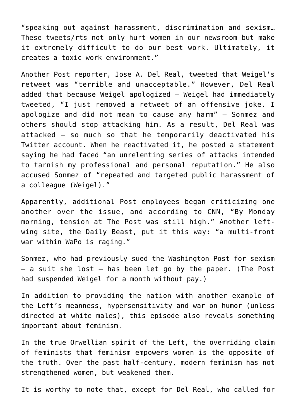"speaking out against harassment, discrimination and sexism… These tweets/rts not only hurt women in our newsroom but make it extremely difficult to do our best work. Ultimately, it creates a toxic work environment."

Another Post reporter, Jose A. Del Real, tweeted that Weigel's retweet was "terrible and unacceptable." However, Del Real added that because Weigel apologized — Weigel had immediately tweeted, "I just removed a retweet of an offensive joke. I apologize and did not mean to cause any harm" — Sonmez and others should stop attacking him. As a result, Del Real was attacked — so much so that he temporarily deactivated his Twitter account. When he reactivated it, he posted a statement saying he had faced "an unrelenting series of attacks intended to tarnish my professional and personal reputation." He also accused Sonmez of "repeated and targeted public harassment of a colleague (Weigel)."

Apparently, additional Post employees began criticizing one another over the issue, and according to CNN, "By Monday morning, tension at The Post was still high." Another leftwing site, the Daily Beast, put it this way: "a multi-front war within WaPo is raging."

Sonmez, who had previously sued the Washington Post for sexism — a suit she lost — has been let go by the paper. (The Post had suspended Weigel for a month without pay.)

In addition to providing the nation with another example of the Left's meanness, hypersensitivity and war on humor (unless directed at white males), this episode also reveals something important about feminism.

In the true Orwellian spirit of the Left, the overriding claim of feminists that feminism empowers women is the opposite of the truth. Over the past half-century, modern feminism has not strengthened women, but weakened them.

It is worthy to note that, except for Del Real, who called for